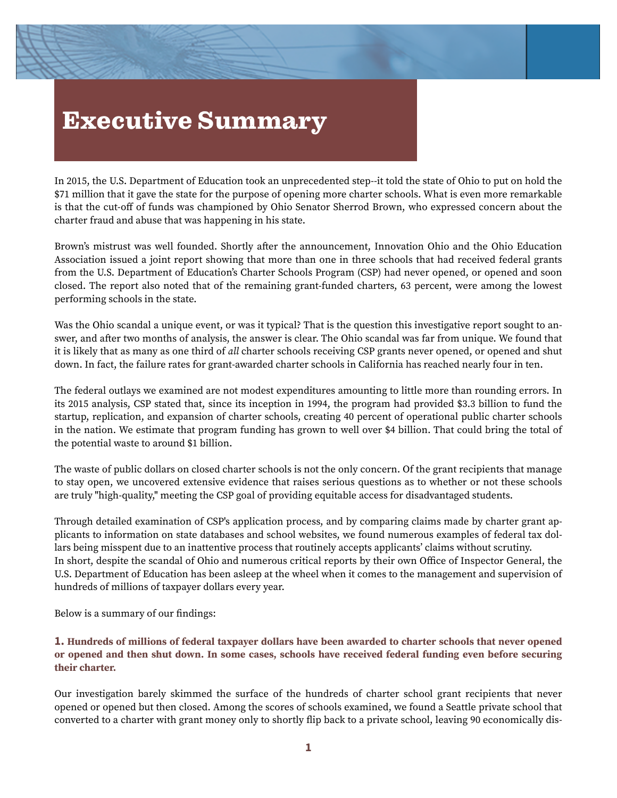# Executive Summary

In 2015, the U.S. Department of Education took an unprecedented step--it told the state of Ohio to put on hold the \$71 million that it gave the state for the purpose of opening more charter schools. What is even more remarkable is that the cut-off of funds was championed by Ohio Senator Sherrod Brown, who expressed concern about the charter fraud and abuse that was happening in his state.

Brown's mistrust was well founded. Shortly afer the announcement, Innovation Ohio and the Ohio Education Association issued a joint report showing that more than one in three schools that had received federal grants from the U.S. Department of Education's Charter Schools Program (CSP) had never opened, or opened and soon closed. The report also noted that of the remaining grant-funded charters, 63 percent, were among the lowest performing schools in the state.

Was the Ohio scandal a unique event, or was it typical? That is the question this investigative report sought to answer, and afer two months of analysis, the answer is clear. The Ohio scandal was far from unique. We found that it is likely that as many as one third of *all* charter schools receiving CSP grants never opened, or opened and shut down. In fact, the failure rates for grant-awarded charter schools in California has reached nearly four in ten.

The federal outlays we examined are not modest expenditures amounting to little more than rounding errors. In its 2015 analysis, CSP stated that, since its inception in 1994, the program had provided \$3.3 billion to fund the startup, replication, and expansion of charter schools, creating 40 percent of operational public charter schools in the nation. We estimate that program funding has grown to well over \$4 billion. That could bring the total of the potential waste to around \$1 billion.

The waste of public dollars on closed charter schools is not the only concern. Of the grant recipients that manage to stay open, we uncovered extensive evidence that raises serious questions as to whether or not these schools are truly "high-quality," meeting the CSP goal of providing equitable access for disadvantaged students.

Through detailed examination of CSP's application process, and by comparing claims made by charter grant applicants to information on state databases and school websites, we found numerous examples of federal tax dollars being misspent due to an inattentive process that routinely accepts applicants' claims without scrutiny. In short, despite the scandal of Ohio and numerous critical reports by their own Office of Inspector General, the U.S. Department of Education has been asleep at the wheel when it comes to the management and supervision of hundreds of millions of taxpayer dollars every year.

Below is a summary of our findings:

#### **1. Hundreds of millions of federal taxpayer dollars have been awarded to charter schools that never opened or opened and then shut down. In some cases, schools have received federal funding even before securing their charter.**

Our investigation barely skimmed the surface of the hundreds of charter school grant recipients that never opened or opened but then closed. Among the scores of schools examined, we found a Seattle private school that converted to a charter with grant money only to shortly flip back to a private school, leaving 90 economically dis-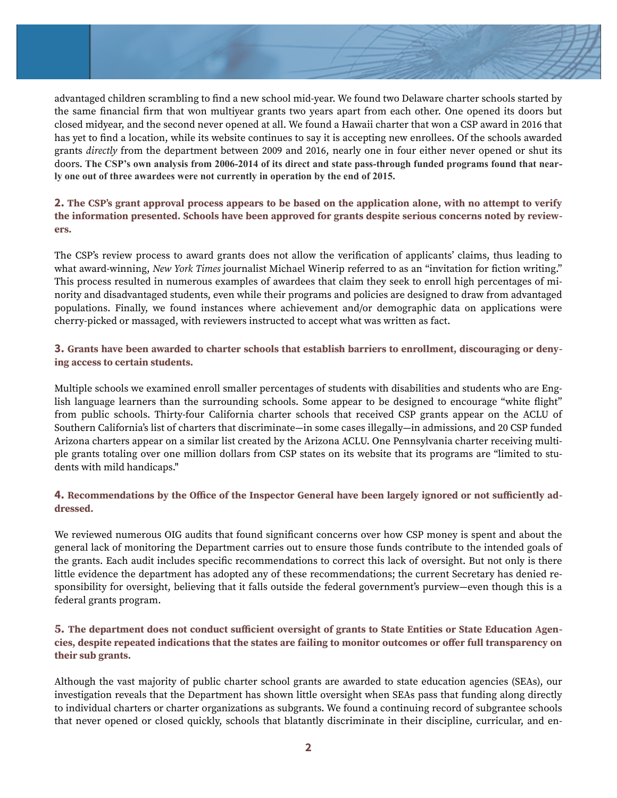

advantaged children scrambling to find a new school mid-year. We found two Delaware charter schools started by the same financial firm that won multiyear grants two years apart from each other. One opened its doors but closed midyear, and the second never opened at all. We found a Hawaii charter that won a CSP award in 2016 that has yet to find a location, while its website continues to say it is accepting new enrollees. Of the schools awarded grants *directly* from the department between 2009 and 2016, nearly one in four either never opened or shut its doors. **The CSP's own analysis from 2006-2014 of its direct and state pass-through funded programs found that nearly one out of three awardees were not currently in operation by the end of 2015.**

#### **2. The CSP's grant approval process appears to be based on the application alone, with no attempt to verify the information presented. Schools have been approved for grants despite serious concerns noted by reviewers.**

The CSP's review process to award grants does not allow the verification of applicants' claims, thus leading to what award-winning, *New York Times* journalist Michael Winerip referred to as an "invitation for fiction writing." This process resulted in numerous examples of awardees that claim they seek to enroll high percentages of minority and disadvantaged students, even while their programs and policies are designed to draw from advantaged populations. Finally, we found instances where achievement and/or demographic data on applications were cherry-picked or massaged, with reviewers instructed to accept what was written as fact.

#### **3. Grants have been awarded to charter schools that establish barriers to enrollment, discouraging or denying access to certain students.**

Multiple schools we examined enroll smaller percentages of students with disabilities and students who are English language learners than the surrounding schools. Some appear to be designed to encourage "white flight" from public schools. Thirty-four California charter schools that received CSP grants appear on the ACLU of Southern California's list of charters that discriminate—in some cases illegally—in admissions, and 20 CSP funded Arizona charters appear on a similar list created by the Arizona ACLU. One Pennsylvania charter receiving multiple grants totaling over one million dollars from CSP states on its website that its programs are "limited to students with mild handicaps."

#### **4. Recommendations by the Office of the Inspector General have been largely ignored or not sufficiently addressed.**

We reviewed numerous OIG audits that found significant concerns over how CSP money is spent and about the general lack of monitoring the Department carries out to ensure those funds contribute to the intended goals of the grants. Each audit includes specific recommendations to correct this lack of oversight. But not only is there little evidence the department has adopted any of these recommendations; the current Secretary has denied responsibility for oversight, believing that it falls outside the federal government's purview—even though this is a federal grants program.

#### **5. The department does not conduct sufficient oversight of grants to State Entities or State Education Agencies, despite repeated indications that the states are failing to monitor outcomes or offer full transparency on their sub grants.**

Although the vast majority of public charter school grants are awarded to state education agencies (SEAs), our investigation reveals that the Department has shown little oversight when SEAs pass that funding along directly to individual charters or charter organizations as subgrants. We found a continuing record of subgrantee schools that never opened or closed quickly, schools that blatantly discriminate in their discipline, curricular, and en-